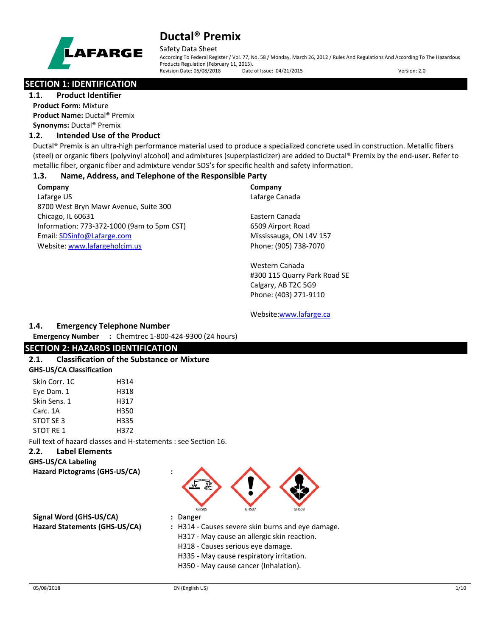

Safety Data Sheet

According To Federal Register / Vol. 77, No. 58 / Monday, March 26, 2012 / Rules And Regulations And According To The Hazardous Products Regulation (February 11, 2015). Revision Date: 05/08/2018 Date of Issue: 04/21/2015 Version: 2.0

## **SECTION 1: IDENTIFICATION**

**1.1. Product Identifier Product Form:** Mixture **Product Name:** Ductal® Premix **Synonyms:** Ductal® Premix

## **1.2. Intended Use of the Product**

Ductal® Premix is an ultra-high performance material used to produce a specialized concrete used in construction. Metallic fibers (steel) or organic fibers (polyvinyl alcohol) and admixtures (superplasticizer) are added to Ductal® Premix by the end-user. Refer to metallic fiber, organic fiber and admixture vendor SDS's for specific health and safety information.

## **1.3. Name, Address, and Telephone of the Responsible Party**

**Company**  Lafarge US 8700 West Bryn Mawr Avenue, Suite 300 Chicago, IL 60631 Information: 773-372-1000 (9am to 5pm CST) Email: [SDSinfo@Lafarge.com](file://leon/customers/CUSTOMERS/Lafarge_North_America_Inc/Projects/Authoring_20180316/Batch_Folder/B_Draft_SDS/MS_Word_Files/SDSinfo@Lafarge.com) Website: [www.lafargeholcim.us](file://leon/customers/CUSTOMERS/Lafarge_North_America_Inc/Projects/Authoring_20180316/Batch_Folder/B_Draft_SDS/MS_Word_Files/www.lafargeholcim.us)

**Company** Lafarge Canada

Eastern Canada 6509 Airport Road Mississauga, ON L4V 157 Phone: (905) 738-7070

Western Canada #300 115 Quarry Park Road SE Calgary, AB T2C 5G9 Phone: (403) 271-9110

Website[:www.lafarge.ca](file://leon/customers/CUSTOMERS/Lafarge_North_America_Inc/Projects/Authoring_20180316/Batch_Folder/B_Draft_SDS/MS_Word_Files/www.lafarge.ca)

## **1.4. Emergency Telephone Number**

**Emergency Number :** Chemtrec 1-800-424-9300 (24 hours)

## **SECTION 2: HAZARDS IDENTIFICATION**

#### **2.1. Classification of the Substance or Mixture GHS-US/CA Classification**

| Skin Corr. 1C | H314 |
|---------------|------|
| Eye Dam. 1    | H318 |
| Skin Sens. 1  | H317 |
| Carc. 1A      | H350 |
| STOT SE 3     | H335 |
| STOT RF 1     | H372 |

Full text of hazard classes and H-statements : see Section 16.

## **2.2. Label Elements**

**GHS-US/CA Labeling**

**Hazard Pictograms (GHS-US/CA) :**



**Signal Word (GHS-US/CA) :** Danger

**Hazard Statements (GHS-US/CA) :** H314 - Causes severe skin burns and eye damage.

- 
- H317 May cause an allergic skin reaction.
- H318 Causes serious eye damage.
- H335 May cause respiratory irritation.
- H350 May cause cancer (Inhalation).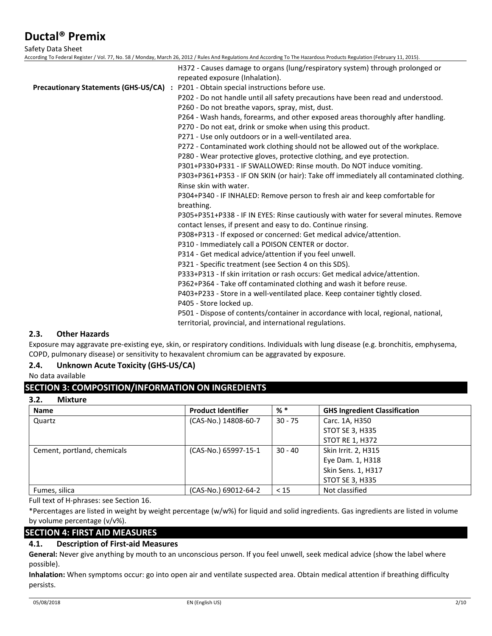Safety Data Sheet

According To Federal Register / Vol. 77, No. 58 / Monday, March 26, 2012 / Rules And Regulations And According To The Hazardous Products Regulation (February 11, 2015). H372 - Causes damage to organs (lung/respiratory system) through prolonged or repeated exposure (Inhalation). **Precautionary Statements (GHS-US/CA) :** P201 - Obtain special instructions before use. P202 - Do not handle until all safety precautions have been read and understood. P260 - Do not breathe vapors, spray, mist, dust. P264 - Wash hands, forearms, and other exposed areas thoroughly after handling. P270 - Do not eat, drink or smoke when using this product. P271 - Use only outdoors or in a well-ventilated area. P272 - Contaminated work clothing should not be allowed out of the workplace. P280 - Wear protective gloves, protective clothing, and eye protection. P301+P330+P331 - IF SWALLOWED: Rinse mouth. Do NOT induce vomiting. P303+P361+P353 - IF ON SKIN (or hair): Take off immediately all contaminated clothing. Rinse skin with water. P304+P340 - IF INHALED: Remove person to fresh air and keep comfortable for breathing. P305+P351+P338 - IF IN EYES: Rinse cautiously with water for several minutes. Remove contact lenses, if present and easy to do. Continue rinsing. P308+P313 - If exposed or concerned: Get medical advice/attention. P310 - Immediately call a POISON CENTER or doctor. P314 - Get medical advice/attention if you feel unwell. P321 - Specific treatment (see Section 4 on this SDS). P333+P313 - If skin irritation or rash occurs: Get medical advice/attention. P362+P364 - Take off contaminated clothing and wash it before reuse. P403+P233 - Store in a well-ventilated place. Keep container tightly closed. P405 - Store locked up. P501 - Dispose of contents/container in accordance with local, regional, national, territorial, provincial, and international regulations.

## **2.3. Other Hazards**

Exposure may aggravate pre-existing eye, skin, or respiratory conditions. Individuals with lung disease (e.g. bronchitis, emphysema, COPD, pulmonary disease) or sensitivity to hexavalent chromium can be aggravated by exposure.

## **2.4. Unknown Acute Toxicity (GHS-US/CA)**

No data available

## **SECTION 3: COMPOSITION/INFORMATION ON INGREDIENTS**

#### **3.2. Mixture**

| <b>Name</b>                 | <b>Product Identifier</b> | $%$ *     | <b>GHS Ingredient Classification</b> |
|-----------------------------|---------------------------|-----------|--------------------------------------|
| Quartz                      | (CAS-No.) 14808-60-7      | $30 - 75$ | Carc. 1A, H350                       |
|                             |                           |           | <b>STOT SE 3, H335</b>               |
|                             |                           |           | <b>STOT RE 1, H372</b>               |
| Cement, portland, chemicals | (CAS-No.) 65997-15-1      | $30 - 40$ | Skin Irrit. 2, H315                  |
|                             |                           |           | Eye Dam. 1, H318                     |
|                             |                           |           | Skin Sens. 1, H317                   |
|                             |                           |           | <b>STOT SE 3, H335</b>               |
| Fumes, silica               | (CAS-No.) 69012-64-2      | < 15      | Not classified                       |

Full text of H-phrases: see Section 16.

\*Percentages are listed in weight by weight percentage (w/w%) for liquid and solid ingredients. Gas ingredients are listed in volume by volume percentage (v/v%).

## **SECTION 4: FIRST AID MEASURES**

## **4.1. Description of First-aid Measures**

**General:** Never give anything by mouth to an unconscious person. If you feel unwell, seek medical advice (show the label where possible).

**Inhalation:** When symptoms occur: go into open air and ventilate suspected area. Obtain medical attention if breathing difficulty persists.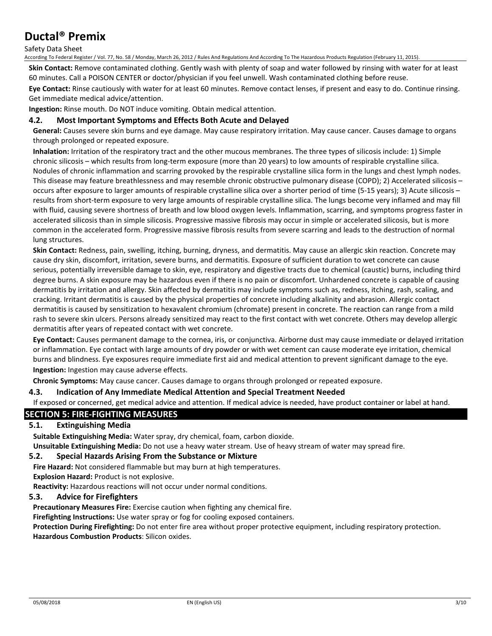#### Safety Data Sheet

According To Federal Register / Vol. 77, No. 58 / Monday, March 26, 2012 / Rules And Regulations And According To The Hazardous Products Regulation (February 11, 2015).

**Skin Contact:** Remove contaminated clothing. Gently wash with plenty of soap and water followed by rinsing with water for at least 60 minutes. Call a POISON CENTER or doctor/physician if you feel unwell. Wash contaminated clothing before reuse.

**Eye Contact:** Rinse cautiously with water for at least 60 minutes. Remove contact lenses, if present and easy to do. Continue rinsing. Get immediate medical advice/attention.

**Ingestion:** Rinse mouth. Do NOT induce vomiting. Obtain medical attention.

## **4.2. Most Important Symptoms and Effects Both Acute and Delayed**

**General:** Causes severe skin burns and eye damage. May cause respiratory irritation. May cause cancer. Causes damage to organs through prolonged or repeated exposure.

**Inhalation:** Irritation of the respiratory tract and the other mucous membranes. The three types of silicosis include: 1) Simple chronic silicosis – which results from long-term exposure (more than 20 years) to low amounts of respirable crystalline silica. Nodules of chronic inflammation and scarring provoked by the respirable crystalline silica form in the lungs and chest lymph nodes. This disease may feature breathlessness and may resemble chronic obstructive pulmonary disease (COPD); 2) Accelerated silicosis – occurs after exposure to larger amounts of respirable crystalline silica over a shorter period of time (5-15 years); 3) Acute silicosis – results from short-term exposure to very large amounts of respirable crystalline silica. The lungs become very inflamed and may fill with fluid, causing severe shortness of breath and low blood oxygen levels. Inflammation, scarring, and symptoms progress faster in accelerated silicosis than in simple silicosis. Progressive massive fibrosis may occur in simple or accelerated silicosis, but is more common in the accelerated form. Progressive massive fibrosis results from severe scarring and leads to the destruction of normal lung structures.

**Skin Contact:** Redness, pain, swelling, itching, burning, dryness, and dermatitis. May cause an allergic skin reaction. Concrete may cause dry skin, discomfort, irritation, severe burns, and dermatitis. Exposure of sufficient duration to wet concrete can cause serious, potentially irreversible damage to skin, eye, respiratory and digestive tracts due to chemical (caustic) burns, including third degree burns. A skin exposure may be hazardous even if there is no pain or discomfort. Unhardened concrete is capable of causing dermatitis by irritation and allergy. Skin affected by dermatitis may include symptoms such as, redness, itching, rash, scaling, and cracking. Irritant dermatitis is caused by the physical properties of concrete including alkalinity and abrasion. Allergic contact dermatitis is caused by sensitization to hexavalent chromium (chromate) present in concrete. The reaction can range from a mild rash to severe skin ulcers. Persons already sensitized may react to the first contact with wet concrete. Others may develop allergic dermatitis after years of repeated contact with wet concrete.

**Eye Contact:** Causes permanent damage to the cornea, iris, or conjunctiva. Airborne dust may cause immediate or delayed irritation or inflammation. Eye contact with large amounts of dry powder or with wet cement can cause moderate eye irritation, chemical burns and blindness. Eye exposures require immediate first aid and medical attention to prevent significant damage to the eye. **Ingestion:** Ingestion may cause adverse effects.

**Chronic Symptoms:** May cause cancer. Causes damage to organs through prolonged or repeated exposure.

## **4.3. Indication of Any Immediate Medical Attention and Special Treatment Needed**

If exposed or concerned, get medical advice and attention. If medical advice is needed, have product container or label at hand.

## **SECTION 5: FIRE-FIGHTING MEASURES**

## **5.1. Extinguishing Media**

**Suitable Extinguishing Media:** Water spray, dry chemical, foam, carbon dioxide.

**Unsuitable Extinguishing Media:** Do not use a heavy water stream. Use of heavy stream of water may spread fire.

#### **5.2. Special Hazards Arising From the Substance or Mixture**

**Fire Hazard:** Not considered flammable but may burn at high temperatures.

**Explosion Hazard:** Product is not explosive.

**Reactivity:** Hazardous reactions will not occur under normal conditions.

#### **5.3. Advice for Firefighters**

**Precautionary Measures Fire:** Exercise caution when fighting any chemical fire.

**Firefighting Instructions:** Use water spray or fog for cooling exposed containers.

**Protection During Firefighting:** Do not enter fire area without proper protective equipment, including respiratory protection. **Hazardous Combustion Products**: Silicon oxides.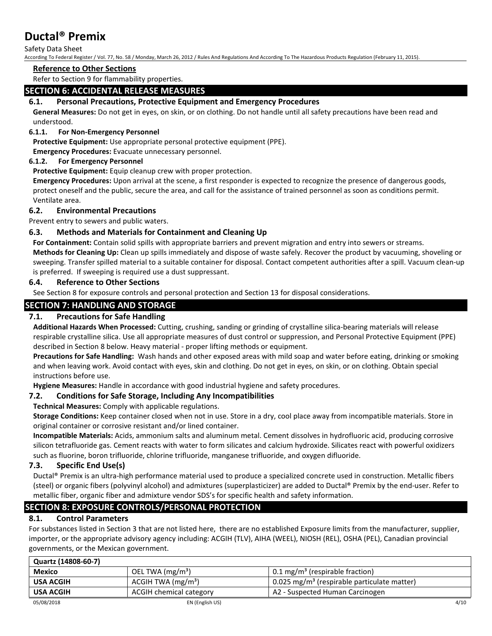## Safety Data Sheet

According To Federal Register / Vol. 77, No. 58 / Monday, March 26, 2012 / Rules And Regulations And According To The Hazardous Products Regulation (February 11, 2015).

#### **Reference to Other Sections**

Refer to Section 9 for flammability properties.

## **SECTION 6: ACCIDENTAL RELEASE MEASURES**

## **6.1. Personal Precautions, Protective Equipment and Emergency Procedures**

**General Measures:** Do not get in eyes, on skin, or on clothing. Do not handle until all safety precautions have been read and understood.

## **6.1.1. For Non-Emergency Personnel**

**Protective Equipment:** Use appropriate personal protective equipment (PPE).

**Emergency Procedures:** Evacuate unnecessary personnel.

## **6.1.2. For Emergency Personnel**

**Protective Equipment:** Equip cleanup crew with proper protection.

**Emergency Procedures:** Upon arrival at the scene, a first responder is expected to recognize the presence of dangerous goods, protect oneself and the public, secure the area, and call for the assistance of trained personnel as soon as conditions permit. Ventilate area.

## **6.2. Environmental Precautions**

Prevent entry to sewers and public waters.

## **6.3. Methods and Materials for Containment and Cleaning Up**

**For Containment:** Contain solid spills with appropriate barriers and prevent migration and entry into sewers or streams. **Methods for Cleaning Up:** Clean up spills immediately and dispose of waste safely. Recover the product by vacuuming, shoveling or sweeping. Transfer spilled material to a suitable container for disposal. Contact competent authorities after a spill. Vacuum clean-up is preferred. If sweeping is required use a dust suppressant.

## **6.4. Reference to Other Sections**

See Section 8 for exposure controls and personal protection and Section 13 for disposal considerations.

## **SECTION 7: HANDLING AND STORAGE**

## **7.1. Precautions for Safe Handling**

**Additional Hazards When Processed:** Cutting, crushing, sanding or grinding of crystalline silica-bearing materials will release respirable crystalline silica. Use all appropriate measures of dust control or suppression, and Personal Protective Equipment (PPE) described in Section 8 below. Heavy material - proper lifting methods or equipment.

**Precautions for Safe Handling:** Wash hands and other exposed areas with mild soap and water before eating, drinking or smoking and when leaving work. Avoid contact with eyes, skin and clothing. Do not get in eyes, on skin, or on clothing. Obtain special instructions before use.

**Hygiene Measures:** Handle in accordance with good industrial hygiene and safety procedures.

## **7.2. Conditions for Safe Storage, Including Any Incompatibilities**

## **Technical Measures:** Comply with applicable regulations.

**Storage Conditions:** Keep container closed when not in use. Store in a dry, cool place away from incompatible materials. Store in original container or corrosive resistant and/or lined container.

**Incompatible Materials:** Acids, ammonium salts and aluminum metal. Cement dissolves in hydrofluoric acid, producing corrosive silicon tetrafluoride gas. Cement reacts with water to form silicates and calcium hydroxide. Silicates react with powerful oxidizers such as fluorine, boron trifluoride, chlorine trifluoride, manganese trifluoride, and oxygen difluoride.

## **7.3. Specific End Use(s)**

Ductal® Premix is an ultra-high performance material used to produce a specialized concrete used in construction. Metallic fibers (steel) or organic fibers (polyvinyl alcohol) and admixtures (superplasticizer) are added to Ductal® Premix by the end-user. Refer to metallic fiber, organic fiber and admixture vendor SDS's for specific health and safety information.

## **SECTION 8: EXPOSURE CONTROLS/PERSONAL PROTECTION**

## **8.1. Control Parameters**

For substances listed in Section 3 that are not listed here, there are no established Exposure limits from the manufacturer, supplier, importer, or the appropriate advisory agency including: ACGIH (TLV), AIHA (WEEL), NIOSH (REL), OSHA (PEL), Canadian provincial governments, or the Mexican government.

| Quartz (14808-60-7) |                         |                                                         |      |  |
|---------------------|-------------------------|---------------------------------------------------------|------|--|
| <b>Mexico</b>       | OEL TWA $(mg/m3)$       | $0.1 \,\mathrm{mg/m^3}$ (respirable fraction)           |      |  |
| <b>USA ACGIH</b>    | ACGIH TWA $(mg/m3)$     | 0.025 mg/m <sup>3</sup> (respirable particulate matter) |      |  |
| <b>USA ACGIH</b>    | ACGIH chemical category | A2 - Suspected Human Carcinogen                         |      |  |
| 05/08/2018          | EN (English US)         |                                                         | 4/10 |  |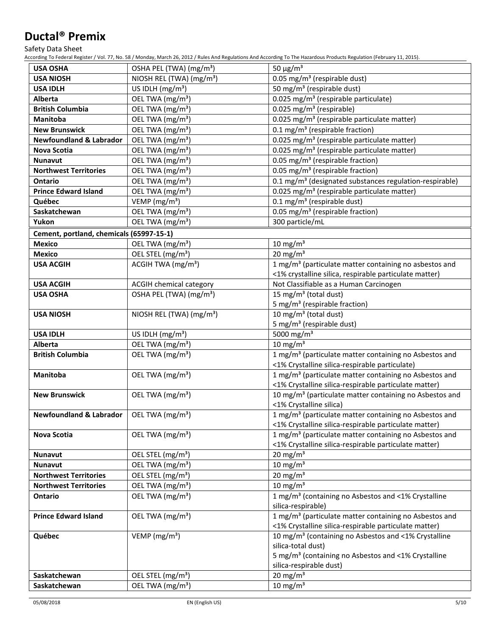Safety Data Sheet

According To Federal Register / Vol. 77, No. 58 / Monday, March 26, 2012 / Rules And Regulations And According To The Hazardous Products Regulation (February 11, 2015).

| <b>USA OSHA</b>                          | OSHA PEL (TWA) (mg/m <sup>3</sup> )  | 50 $\mu$ g/m <sup>3</sup>                                           |
|------------------------------------------|--------------------------------------|---------------------------------------------------------------------|
| <b>USA NIOSH</b>                         | NIOSH REL (TWA) (mg/m <sup>3</sup> ) | 0.05 mg/m <sup>3</sup> (respirable dust)                            |
| <b>USA IDLH</b>                          | US IDLH $(mg/m3)$                    | 50 mg/m <sup>3</sup> (respirable dust)                              |
| Alberta                                  | OEL TWA (mg/m <sup>3</sup> )         | 0.025 mg/m <sup>3</sup> (respirable particulate)                    |
| <b>British Columbia</b>                  | OEL TWA (mg/m <sup>3</sup> )         | 0.025 mg/m <sup>3</sup> (respirable)                                |
| <b>Manitoba</b>                          | OEL TWA (mg/m <sup>3</sup> )         | 0.025 mg/m <sup>3</sup> (respirable particulate matter)             |
| <b>New Brunswick</b>                     | OEL TWA (mg/m <sup>3</sup> )         | 0.1 mg/m <sup>3</sup> (respirable fraction)                         |
| <b>Newfoundland &amp; Labrador</b>       | OEL TWA (mg/m <sup>3</sup> )         | 0.025 mg/m <sup>3</sup> (respirable particulate matter)             |
| <b>Nova Scotia</b>                       | OEL TWA (mg/m <sup>3</sup> )         | 0.025 mg/m <sup>3</sup> (respirable particulate matter)             |
| <b>Nunavut</b>                           | OEL TWA (mg/m <sup>3</sup> )         | 0.05 mg/m <sup>3</sup> (respirable fraction)                        |
| <b>Northwest Territories</b>             | OEL TWA (mg/m <sup>3</sup> )         | 0.05 mg/m <sup>3</sup> (respirable fraction)                        |
| <b>Ontario</b>                           | OEL TWA (mg/m <sup>3</sup> )         | 0.1 mg/m <sup>3</sup> (designated substances regulation-respirable) |
| <b>Prince Edward Island</b>              | OEL TWA (mg/m <sup>3</sup> )         | 0.025 mg/m <sup>3</sup> (respirable particulate matter)             |
| Québec                                   | VEMP ( $mg/m3$ )                     | $\overline{0.1}$ mg/m <sup>3</sup> (respirable dust)                |
| Saskatchewan                             | OEL TWA (mg/m <sup>3</sup> )         | 0.05 mg/m <sup>3</sup> (respirable fraction)                        |
| Yukon                                    | OEL TWA (mg/m <sup>3</sup> )         | 300 particle/mL                                                     |
| Cement, portland, chemicals (65997-15-1) |                                      |                                                                     |
| <b>Mexico</b>                            | OEL TWA (mg/m <sup>3</sup> )         | $10 \text{ mg/m}^3$                                                 |
| <b>Mexico</b>                            | OEL STEL (mg/m <sup>3</sup> )        | $20 \text{ mg/m}^3$                                                 |
| <b>USA ACGIH</b>                         | ACGIH TWA (mg/m <sup>3</sup> )       | 1 mg/m <sup>3</sup> (particulate matter containing no asbestos and  |
|                                          |                                      | <1% crystalline silica, respirable particulate matter)              |
| <b>USA ACGIH</b>                         | ACGIH chemical category              | Not Classifiable as a Human Carcinogen                              |
| <b>USA OSHA</b>                          | OSHA PEL (TWA) (mg/m <sup>3</sup> )  | 15 mg/m <sup>3</sup> (total dust)                                   |
|                                          |                                      | 5 mg/m <sup>3</sup> (respirable fraction)                           |
| <b>USA NIOSH</b>                         | NIOSH REL (TWA) (mg/m <sup>3</sup> ) | 10 mg/m <sup>3</sup> (total dust)                                   |
|                                          |                                      | 5 mg/m <sup>3</sup> (respirable dust)                               |
| <b>USA IDLH</b>                          | US IDLH $(mg/m3)$                    | 5000 mg/m <sup>3</sup>                                              |
| Alberta                                  | OEL TWA (mg/m <sup>3</sup> )         | $10 \text{ mg/m}^3$                                                 |
| <b>British Columbia</b>                  | OEL TWA (mg/m <sup>3</sup> )         | 1 mg/m <sup>3</sup> (particulate matter containing no Asbestos and  |
|                                          |                                      | <1% Crystalline silica-respirable particulate)                      |
| Manitoba                                 | OEL TWA (mg/m <sup>3</sup> )         | 1 mg/m <sup>3</sup> (particulate matter containing no Asbestos and  |
|                                          |                                      | <1% Crystalline silica-respirable particulate matter)               |
| <b>New Brunswick</b>                     | OEL TWA (mg/m <sup>3</sup> )         | 10 mg/m <sup>3</sup> (particulate matter containing no Asbestos and |
|                                          |                                      | <1% Crystalline silica)                                             |
| <b>Newfoundland &amp; Labrador</b>       | OEL TWA (mg/m <sup>3</sup> )         | 1 mg/m <sup>3</sup> (particulate matter containing no Asbestos and  |
|                                          |                                      | <1% Crystalline silica-respirable particulate matter)               |
| Nova Scotia                              | OEL TWA (mg/m <sup>3</sup> )         | 1 mg/m <sup>3</sup> (particulate matter containing no Asbestos and  |
|                                          |                                      | <1% Crystalline silica-respirable particulate matter)               |
| <b>Nunavut</b>                           | OEL STEL (mg/m <sup>3</sup> )        | 20 mg/m $3$                                                         |
| <b>Nunavut</b>                           | OEL TWA (mg/m <sup>3</sup> )         | $10 \text{ mg/m}^3$                                                 |
| <b>Northwest Territories</b>             | OEL STEL (mg/m <sup>3</sup> )        | $20 \text{ mg/m}^3$                                                 |
| <b>Northwest Territories</b>             | OEL TWA (mg/m <sup>3</sup> )         | 10 mg/m $3$                                                         |
| <b>Ontario</b>                           | OEL TWA (mg/m <sup>3</sup> )         | 1 mg/m <sup>3</sup> (containing no Asbestos and <1% Crystalline     |
|                                          |                                      | silica-respirable)                                                  |
| <b>Prince Edward Island</b>              | OEL TWA (mg/m <sup>3</sup> )         | 1 mg/m <sup>3</sup> (particulate matter containing no Asbestos and  |
|                                          |                                      | <1% Crystalline silica-respirable particulate matter)               |
| Québec                                   | VEMP ( $mg/m3$ )                     | 10 mg/m <sup>3</sup> (containing no Asbestos and <1% Crystalline    |
|                                          |                                      | silica-total dust)                                                  |
|                                          |                                      | 5 mg/m <sup>3</sup> (containing no Asbestos and <1% Crystalline     |
|                                          |                                      | silica-respirable dust)                                             |
| Saskatchewan                             | OEL STEL (mg/m <sup>3</sup> )        | $20 \text{ mg/m}^3$                                                 |
| Saskatchewan                             | OEL TWA (mg/m <sup>3</sup> )         | $10 \text{ mg/m}^3$                                                 |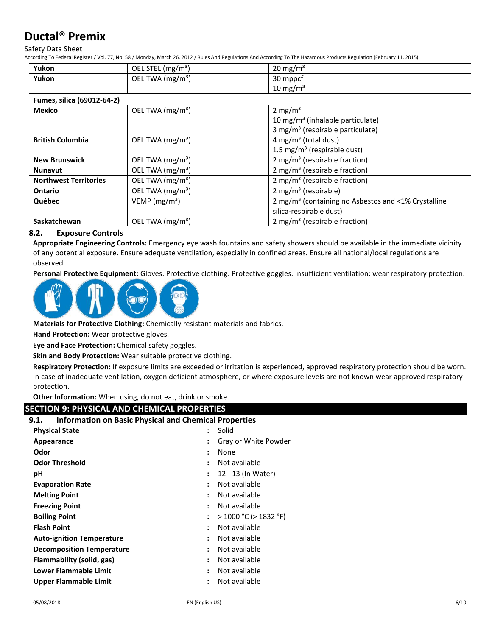Safety Data Sheet

According To Federal Register / Vol. 77, No. 58 / Monday, March 26, 2012 / Rules And Regulations And According To The Hazardous Products Regulation (February 11, 2015).

| Yukon                        | OEL STEL (mg/m <sup>3</sup> ) | 20 mg/m <sup>3</sup>                                            |
|------------------------------|-------------------------------|-----------------------------------------------------------------|
| Yukon                        | OEL TWA (mg/m <sup>3</sup> )  | 30 mppcf                                                        |
|                              |                               | 10 mg/m $3$                                                     |
| Fumes, silica (69012-64-2)   |                               |                                                                 |
| Mexico                       | OEL TWA $(mg/m3)$             | 2 mg/ $m3$                                                      |
|                              |                               | 10 mg/m <sup>3</sup> (inhalable particulate)                    |
|                              |                               | 3 mg/m <sup>3</sup> (respirable particulate)                    |
| <b>British Columbia</b>      | OEL TWA $(mg/m3)$             | 4 mg/m <sup>3</sup> (total dust)                                |
|                              |                               | 1.5 mg/m <sup>3</sup> (respirable dust)                         |
| <b>New Brunswick</b>         | OEL TWA (mg/m <sup>3</sup> )  | 2 mg/m <sup>3</sup> (respirable fraction)                       |
| <b>Nunavut</b>               | OEL TWA $(mg/m3)$             | 2 mg/m <sup>3</sup> (respirable fraction)                       |
| <b>Northwest Territories</b> | OEL TWA (mg/m <sup>3</sup> )  | 2 mg/m <sup>3</sup> (respirable fraction)                       |
| <b>Ontario</b>               | OEL TWA (mg/m <sup>3</sup> )  | 2 mg/m <sup>3</sup> (respirable)                                |
| Québec                       | VEMP $(mg/m3)$                | 2 mg/m <sup>3</sup> (containing no Asbestos and <1% Crystalline |
|                              |                               | silica-respirable dust)                                         |
| Saskatchewan                 | OEL TWA (mg/m <sup>3</sup> )  | 2 mg/m <sup>3</sup> (respirable fraction)                       |

## **8.2. Exposure Controls**

**Appropriate Engineering Controls:** Emergency eye wash fountains and safety showers should be available in the immediate vicinity of any potential exposure. Ensure adequate ventilation, especially in confined areas. Ensure all national/local regulations are observed.

**Personal Protective Equipment:** Gloves. Protective clothing. Protective goggles. Insufficient ventilation: wear respiratory protection.



**Materials for Protective Clothing:** Chemically resistant materials and fabrics.

**Hand Protection:** Wear protective gloves.

**Eye and Face Protection:** Chemical safety goggles.

**Skin and Body Protection:** Wear suitable protective clothing.

**Respiratory Protection:** If exposure limits are exceeded or irritation is experienced, approved respiratory protection should be worn. In case of inadequate ventilation, oxygen deficient atmosphere, or where exposure levels are not known wear approved respiratory protection.

**Other Information:** When using, do not eat, drink or smoke.

## **SECTION 9: PHYSICAL AND CHEMICAL PROPERTIES**

| <b>Information on Basic Physical and Chemical Properties</b><br>9.1. |                      |                            |
|----------------------------------------------------------------------|----------------------|----------------------------|
| <b>Physical State</b>                                                | ÷                    | Solid                      |
| Appearance                                                           |                      | Gray or White Powder       |
| Odor                                                                 | :                    | None                       |
| <b>Odor Threshold</b>                                                | ÷                    | Not available              |
| рH                                                                   | :                    | 12 - 13 (In Water)         |
| <b>Evaporation Rate</b>                                              | $\ddot{\phantom{a}}$ | Not available              |
| <b>Melting Point</b>                                                 | $\ddot{\phantom{a}}$ | Not available              |
| <b>Freezing Point</b>                                                | $\ddot{\phantom{a}}$ | Not available              |
| <b>Boiling Point</b>                                                 | ÷                    | $>$ 1000 °C ( $>$ 1832 °F) |
| <b>Flash Point</b>                                                   | $\ddot{\cdot}$       | Not available              |
| <b>Auto-ignition Temperature</b>                                     | $\ddot{\phantom{a}}$ | Not available              |
| <b>Decomposition Temperature</b>                                     | $\ddot{\phantom{a}}$ | Not available              |
| Flammability (solid, gas)                                            | $\ddot{\phantom{a}}$ | Not available              |
| Lower Flammable Limit                                                | $\ddot{\cdot}$       | Not available              |
| <b>Upper Flammable Limit</b>                                         |                      | Not available              |
|                                                                      |                      |                            |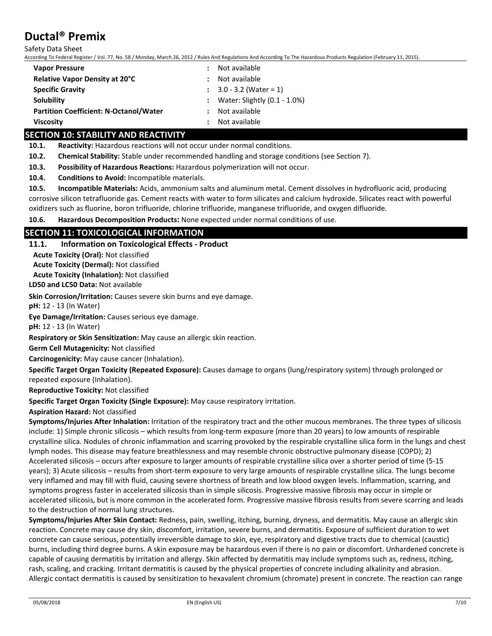Safety Data Sheet

According To Federal Register / Vol. 77, No. 58 / Monday, March 26, 2012 / Rules And Regulations And According To The Hazardous Products Regulation (February 11, 2015).

| <b>Vapor Pressure</b>                         | Not available                      |
|-----------------------------------------------|------------------------------------|
| Relative Vapor Density at 20°C                | Not available                      |
| <b>Specific Gravity</b>                       | $\therefore$ 3.0 - 3.2 (Water = 1) |
| Solubility                                    | : Water: Slightly $(0.1 - 1.0\%)$  |
| <b>Partition Coefficient: N-Octanol/Water</b> | Not available                      |
| <b>Viscosity</b>                              | Not available                      |

## **SECTION 10: STABILITY AND REACTIVITY**

**10.1. Reactivity:** Hazardous reactions will not occur under normal conditions.

**10.2. Chemical Stability:** Stable under recommended handling and storage conditions (see Section 7).

**10.3. Possibility of Hazardous Reactions:** Hazardous polymerization will not occur.

**10.4. Conditions to Avoid:** Incompatible materials.

**10.5. Incompatible Materials:** Acids, ammonium salts and aluminum metal. Cement dissolves in hydrofluoric acid, producing corrosive silicon tetrafluoride gas. Cement reacts with water to form silicates and calcium hydroxide. Silicates react with powerful oxidizers such as fluorine, boron trifluoride, chlorine trifluoride, manganese trifluoride, and oxygen difluoride.

**10.6. Hazardous Decomposition Products:** None expected under normal conditions of use.

## **SECTION 11: TOXICOLOGICAL INFORMATION**

#### **11.1. Information on Toxicological Effects - Product**

**Acute Toxicity (Oral):** Not classified

**Acute Toxicity (Dermal):** Not classified

**Acute Toxicity (Inhalation):** Not classified

**LD50 and LC50 Data:** Not available

**Skin Corrosion/Irritation:** Causes severe skin burns and eye damage.

**pH:** 12 - 13 (In Water)

**Eye Damage/Irritation:** Causes serious eye damage.

**pH:** 12 - 13 (In Water)

**Respiratory or Skin Sensitization:** May cause an allergic skin reaction.

**Germ Cell Mutagenicity:** Not classified

**Carcinogenicity:** May cause cancer (Inhalation).

**Specific Target Organ Toxicity (Repeated Exposure):** Causes damage to organs (lung/respiratory system) through prolonged or repeated exposure (Inhalation).

**Reproductive Toxicity:** Not classified

**Specific Target Organ Toxicity (Single Exposure):** May cause respiratory irritation.

## **Aspiration Hazard:** Not classified

**Symptoms/Injuries After Inhalation:** Irritation of the respiratory tract and the other mucous membranes. The three types of silicosis include: 1) Simple chronic silicosis – which results from long-term exposure (more than 20 years) to low amounts of respirable crystalline silica. Nodules of chronic inflammation and scarring provoked by the respirable crystalline silica form in the lungs and chest lymph nodes. This disease may feature breathlessness and may resemble chronic obstructive pulmonary disease (COPD); 2) Accelerated silicosis – occurs after exposure to larger amounts of respirable crystalline silica over a shorter period of time (5-15 years); 3) Acute silicosis – results from short-term exposure to very large amounts of respirable crystalline silica. The lungs become very inflamed and may fill with fluid, causing severe shortness of breath and low blood oxygen levels. Inflammation, scarring, and symptoms progress faster in accelerated silicosis than in simple silicosis. Progressive massive fibrosis may occur in simple or accelerated silicosis, but is more common in the accelerated form. Progressive massive fibrosis results from severe scarring and leads to the destruction of normal lung structures.

**Symptoms/Injuries After Skin Contact:** Redness, pain, swelling, itching, burning, dryness, and dermatitis. May cause an allergic skin reaction. Concrete may cause dry skin, discomfort, irritation, severe burns, and dermatitis. Exposure of sufficient duration to wet concrete can cause serious, potentially irreversible damage to skin, eye, respiratory and digestive tracts due to chemical (caustic) burns, including third degree burns. A skin exposure may be hazardous even if there is no pain or discomfort. Unhardened concrete is capable of causing dermatitis by irritation and allergy. Skin affected by dermatitis may include symptoms such as, redness, itching, rash, scaling, and cracking. Irritant dermatitis is caused by the physical properties of concrete including alkalinity and abrasion. Allergic contact dermatitis is caused by sensitization to hexavalent chromium (chromate) present in concrete. The reaction can range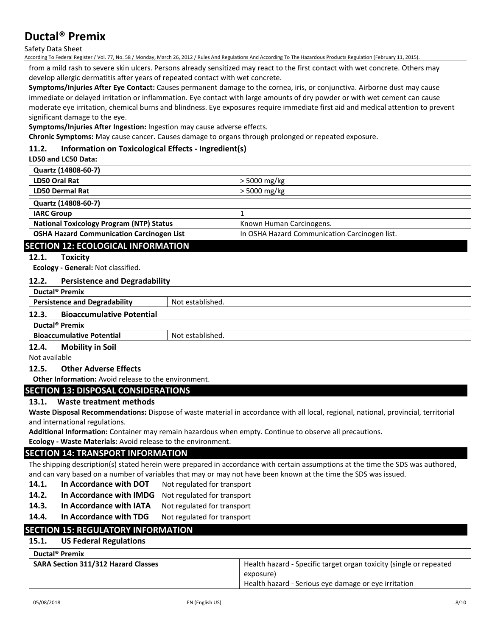Safety Data Sheet

According To Federal Register / Vol. 77, No. 58 / Monday, March 26, 2012 / Rules And Regulations And According To The Hazardous Products Regulation (February 11, 2015).

from a mild rash to severe skin ulcers. Persons already sensitized may react to the first contact with wet concrete. Others may develop allergic dermatitis after years of repeated contact with wet concrete.

**Symptoms/Injuries After Eye Contact:** Causes permanent damage to the cornea, iris, or conjunctiva. Airborne dust may cause immediate or delayed irritation or inflammation. Eye contact with large amounts of dry powder or with wet cement can cause moderate eye irritation, chemical burns and blindness. Eye exposures require immediate first aid and medical attention to prevent significant damage to the eye.

**Symptoms/Injuries After Ingestion:** Ingestion may cause adverse effects.

**Chronic Symptoms:** May cause cancer. Causes damage to organs through prolonged or repeated exposure.

## **11.2. Information on Toxicological Effects - Ingredient(s)**

#### **LD50 and LC50 Data:**

| Quartz (14808-60-7)                              |                                               |
|--------------------------------------------------|-----------------------------------------------|
| LD50 Oral Rat                                    | $>$ 5000 mg/kg                                |
| <b>LD50 Dermal Rat</b>                           | $>$ 5000 mg/kg                                |
| Quartz (14808-60-7)                              |                                               |
| <b>IARC Group</b>                                |                                               |
| <b>National Toxicology Program (NTP) Status</b>  | Known Human Carcinogens.                      |
| <b>OSHA Hazard Communication Carcinogen List</b> | In OSHA Hazard Communication Carcinogen list. |

## **SECTION 12: ECOLOGICAL INFORMATION**

## **12.1. Toxicity**

**Ecology - General:** Not classified.

## **12.2. Persistence and Degradability**

| Ductal <sup>®</sup> Premix                |                  |  |
|-------------------------------------------|------------------|--|
| <b>Persistence and Degradability</b>      | Not established. |  |
| <b>Bioaccumulative Potential</b><br>12.3. |                  |  |
| Ductal <sup>®</sup> Premix                |                  |  |
| <b>Bioaccumulative Potential</b>          | Not established. |  |
| Adal Hussell Catt<br>$\sim$               |                  |  |

**12.4. Mobility in Soil**

Not available

#### **12.5. Other Adverse Effects**

**Other Information:** Avoid release to the environment.

## **SECTION 13: DISPOSAL CONSIDERATIONS**

## **13.1. Waste treatment methods**

**Waste Disposal Recommendations:** Dispose of waste material in accordance with all local, regional, national, provincial, territorial and international regulations.

**Additional Information:** Container may remain hazardous when empty. Continue to observe all precautions.

**Ecology - Waste Materials:** Avoid release to the environment.

## **SECTION 14: TRANSPORT INFORMATION**

The shipping description(s) stated herein were prepared in accordance with certain assumptions at the time the SDS was authored, and can vary based on a number of variables that may or may not have been known at the time the SDS was issued.

- 14.1. In Accordance with DOT Not regulated for transport
- 14.2. In Accordance with IMDG Not regulated for transport
- 14.3. In Accordance with IATA Not regulated for transport
- 14.4. In Accordance with TDG Not regulated for transport

## **SECTION 15: REGULATORY INFORMATION**

## **15.1. US Federal Regulations**

| <b>SARA Section 311/312 Hazard Classes</b> | Health hazard - Specific target organ toxicity (single or repeated |
|--------------------------------------------|--------------------------------------------------------------------|
|                                            | exposure)                                                          |
|                                            | Health hazard - Serious eye damage or eye irritation               |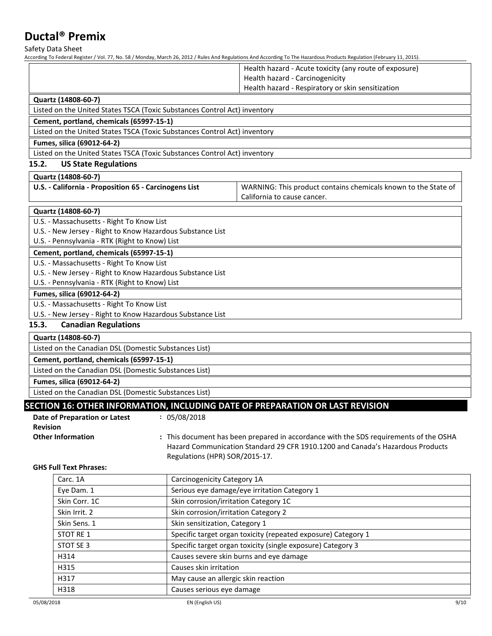Safety Data Sheet

|                 |                                                                           |                                       | According To Federal Register / Vol. 77, No. 58 / Monday, March 26, 2012 / Rules And Regulations And According To The Hazardous Products Regulation (February 11, 2015). |
|-----------------|---------------------------------------------------------------------------|---------------------------------------|--------------------------------------------------------------------------------------------------------------------------------------------------------------------------|
|                 |                                                                           |                                       | Health hazard - Acute toxicity (any route of exposure)                                                                                                                   |
|                 |                                                                           |                                       | Health hazard - Carcinogenicity                                                                                                                                          |
|                 |                                                                           |                                       | Health hazard - Respiratory or skin sensitization                                                                                                                        |
|                 | Quartz (14808-60-7)                                                       |                                       |                                                                                                                                                                          |
|                 | Listed on the United States TSCA (Toxic Substances Control Act) inventory |                                       |                                                                                                                                                                          |
|                 | Cement, portland, chemicals (65997-15-1)                                  |                                       |                                                                                                                                                                          |
|                 | Listed on the United States TSCA (Toxic Substances Control Act) inventory |                                       |                                                                                                                                                                          |
|                 | Fumes, silica (69012-64-2)                                                |                                       |                                                                                                                                                                          |
|                 | Listed on the United States TSCA (Toxic Substances Control Act) inventory |                                       |                                                                                                                                                                          |
| 15.2.           | <b>US State Regulations</b>                                               |                                       |                                                                                                                                                                          |
|                 | Quartz (14808-60-7)                                                       |                                       |                                                                                                                                                                          |
|                 | U.S. - California - Proposition 65 - Carcinogens List                     |                                       | WARNING: This product contains chemicals known to the State of                                                                                                           |
|                 |                                                                           |                                       | California to cause cancer.                                                                                                                                              |
|                 | Quartz (14808-60-7)                                                       |                                       |                                                                                                                                                                          |
|                 | U.S. - Massachusetts - Right To Know List                                 |                                       |                                                                                                                                                                          |
|                 | U.S. - New Jersey - Right to Know Hazardous Substance List                |                                       |                                                                                                                                                                          |
|                 | U.S. - Pennsylvania - RTK (Right to Know) List                            |                                       |                                                                                                                                                                          |
|                 | Cement, portland, chemicals (65997-15-1)                                  |                                       |                                                                                                                                                                          |
|                 | U.S. - Massachusetts - Right To Know List                                 |                                       |                                                                                                                                                                          |
|                 | U.S. - New Jersey - Right to Know Hazardous Substance List                |                                       |                                                                                                                                                                          |
|                 | U.S. - Pennsylvania - RTK (Right to Know) List                            |                                       |                                                                                                                                                                          |
|                 | Fumes, silica (69012-64-2)                                                |                                       |                                                                                                                                                                          |
|                 | U.S. - Massachusetts - Right To Know List                                 |                                       |                                                                                                                                                                          |
|                 | U.S. - New Jersey - Right to Know Hazardous Substance List                |                                       |                                                                                                                                                                          |
| 15.3.           | <b>Canadian Regulations</b>                                               |                                       |                                                                                                                                                                          |
|                 | Quartz (14808-60-7)                                                       |                                       |                                                                                                                                                                          |
|                 | Listed on the Canadian DSL (Domestic Substances List)                     |                                       |                                                                                                                                                                          |
|                 | Cement, portland, chemicals (65997-15-1)                                  |                                       |                                                                                                                                                                          |
|                 | Listed on the Canadian DSL (Domestic Substances List)                     |                                       |                                                                                                                                                                          |
|                 | Fumes, silica (69012-64-2)                                                |                                       |                                                                                                                                                                          |
|                 | Listed on the Canadian DSL (Domestic Substances List)                     |                                       |                                                                                                                                                                          |
|                 |                                                                           |                                       | SECTION 16: OTHER INFORMATION, INCLUDING DATE OF PREPARATION OR LAST REVISION                                                                                            |
|                 | Date of Preparation or Latest                                             | : 05/08/2018                          |                                                                                                                                                                          |
| <b>Revision</b> |                                                                           |                                       |                                                                                                                                                                          |
|                 | <b>Other Information</b>                                                  |                                       | : This document has been prepared in accordance with the SDS requirements of the OSHA                                                                                    |
|                 |                                                                           |                                       | Hazard Communication Standard 29 CFR 1910.1200 and Canada's Hazardous Products                                                                                           |
|                 |                                                                           | Regulations (HPR) SOR/2015-17.        |                                                                                                                                                                          |
|                 | <b>GHS Full Text Phrases:</b>                                             |                                       |                                                                                                                                                                          |
|                 | Carc. 1A                                                                  | Carcinogenicity Category 1A           |                                                                                                                                                                          |
|                 | Eye Dam. 1                                                                |                                       | Serious eye damage/eye irritation Category 1                                                                                                                             |
|                 | Skin Corr. 1C                                                             | Skin corrosion/irritation Category 1C |                                                                                                                                                                          |
|                 | Skin Irrit. 2                                                             | Skin corrosion/irritation Category 2  |                                                                                                                                                                          |
|                 | Skin Sens. 1                                                              | Skin sensitization, Category 1        |                                                                                                                                                                          |
|                 | STOT RE 1                                                                 |                                       | Specific target organ toxicity (repeated exposure) Category 1                                                                                                            |
|                 | STOT SE 3                                                                 |                                       | Specific target organ toxicity (single exposure) Category 3                                                                                                              |
|                 | H314                                                                      |                                       | Causes severe skin burns and eye damage                                                                                                                                  |
|                 | H315                                                                      | Causes skin irritation                |                                                                                                                                                                          |

H317 May cause an allergic skin reaction

H318 Causes serious eye damage